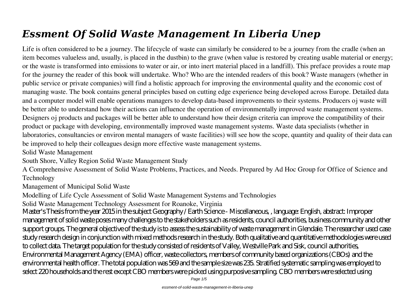# *Essment Of Solid Waste Management In Liberia Unep*

Life is often considered to be a journey. The lifecycle of waste can similarly be considered to be a journey from the cradle (when an item becomes valueless and, usually, is placed in the dustbin) to the grave (when value is restored by creating usable material or energy; or the waste is transformed into emissions to water or air, or into inert material placed in a landfill). This preface provides a route map for the journey the reader of this book will undertake. Who? Who are the intended readers of this book? Waste managers (whether in public service or private companies) will find a holistic approach for improving the environmental quality and the economic cost of managing waste. The book contains general principles based on cutting edge experience being developed across Europe. Detailed data and a computer model will enable operations managers to develop data-based improvements to their systems. Producers oj waste will be better able to understand how their actions can influence the operation of environmentally improved waste management systems. Designers oj products and packages will be better able to understand how their design criteria can improve the compatibility of their product or package with developing, environmentally improved waste management systems. Waste data specialists (whether in laboratories, consultancies or environ mental managers of waste facilities) will see how the scope, quantity and quality of their data can be improved to help their colleagues design more effective waste management systems.

Solid Waste Management

South Shore, Valley Region Solid Waste Management Study

A Comprehensive Assessment of Solid Waste Problems, Practices, and Needs. Prepared by Ad Hoc Group for Office of Science and Technology

Management of Municipal Solid Waste

Modelling of Life Cycle Assessment of Solid Waste Management Systems and Technologies

Solid Waste Management Technology Assessment for Roanoke, Virginia

Master's Thesis from the year 2015 in the subject Geography / Earth Science - Miscellaneous, , language: English, abstract: Improper management of solid waste poses many challenges to the stakeholders such as residents, council authorities, business community and other support groups. The general objective of the study is to assess the sustainability of waste management in Glendale. The researcher used case study research design in conjunction with mixed methods research in the study. Both qualitative and quantitative methodologies were used to collect data. The target population for the study consisted of residents of Valley, Westville Park and Sisk, council authorities, Environmental Management Agency (EMA) officer, waste collectors, members of community based organizations (CBOs) and the environmental health officer. The total population was 569 and the sample size was 235. Stratified systematic sampling was employed to select 220 households and the rest except CBO members were picked using purposive sampling. CBO members were selected using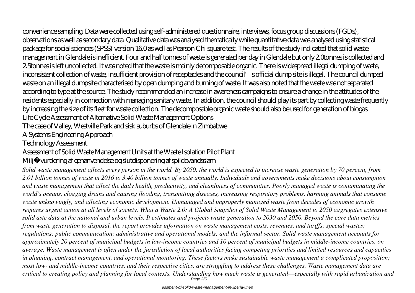convenience sampling. Data were collected using self-administered questionnaire, interviews, focus group discussions (FGDs),

observations as well as secondary data. Qualitative data was analysed thematically while quantitative data was analysed using statistical package for social sciences (SPSS) version 16.0 as well as Pearson Chi square test. The results of the study indicated that solid waste management in Glendale is inefficient. Four and half tonnes of waste is generated per day in Glendale but only 2.0tonnes is collected and 2.5tonnes is left uncollected. It was noted that the waste is mainly decomposable organic. There is widespread illegal dumping of waste, inconsistent collection of waste, insufficient provision of receptacles and the council's official dump site is illegal. The council dumped waste on an illegal dumpsite characterised by open dumping and burning of waste. It was also noted that the waste was not separated according to type at the source. The study recommended an increase in awareness campaigns to ensure a change in the attitudes of the residents especially in connection with managing sanitary waste. In addition, the council should play its part by collecting waste frequently by increasing the size of its fleet for waste collection. The decomposable organic waste should also be used for generation of biogas. Life Cycle Assessment of Alternative Solid Waste Management Options

The case of Valley, Westville Park and sisk suburbs of Glendale in Zimbabwe

A Systems Engineering Approach

Technology Assessment

Assessment of Solid Waste Management Units at the Waste Isolation Pilot Plant

Miljø vurdering af genanvendelse og slutdisponering af spildevandsslam

*Solid waste management affects every person in the world. By 2050, the world is expected to increase waste generation by 70 percent, from 2.01 billion tonnes of waste in 2016 to 3.40 billion tonnes of waste annually. Individuals and governments make decisions about consumption and waste management that affect the daily health, productivity, and cleanliness of communities. Poorly managed waste is contaminating the world's oceans, clogging drains and causing flooding, transmitting diseases, increasing respiratory problems, harming animals that consume waste unknowingly, and affecting economic development. Unmanaged and improperly managed waste from decades of economic growth requires urgent action at all levels of society. What a Waste 2.0: A Global Snapshot of Solid Waste Management to 2050 aggregates extensive solid aste data at the national and urban levels. It estimates and projects waste generation to 2030 and 2050. Beyond the core data metrics from waste generation to disposal, the report provides information on waste management costs, revenues, and tariffs; special wastes; regulations; public communication; administrative and operational models; and the informal sector. Solid waste management accounts for approximately 20 percent of municipal budgets in low-income countries and 10 percent of municipal budgets in middle-income countries, on average. Waste management is often under the jurisdiction of local authorities facing competing priorities and limited resources and capacities in planning, contract management, and operational monitoring. These factors make sustainable waste management a complicated proposition; most low- and middle-income countries, and their respective cities, are struggling to address these challenges. Waste management data are critical to creating policy and planning for local contexts. Understanding how much waste is generated—especially with rapid urbanization and* Page 2/5

essment-of-solid-waste-management-in-liberia-unep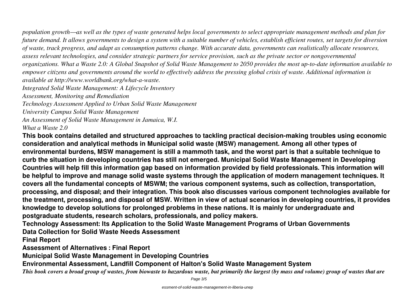*population growth—as well as the types of waste generated helps local governments to select appropriate management methods and plan for future demand. It allows governments to design a system with a suitable number of vehicles, establish efficient routes, set targets for diversion of waste, track progress, and adapt as consumption patterns change. With accurate data, governments can realistically allocate resources, assess relevant technologies, and consider strategic partners for service provision, such as the private sector or nongovernmental organizations. What a Waste 2.0: A Global Snapshot of Solid Waste Management to 2050 provides the most up-to-date information available to empower citizens and governments around the world to effectively address the pressing global crisis of waste. Additional information is available at http://www.worldbank.org/what-a-waste. Integrated Solid Waste Management: A Lifecycle Inventory Assessment, Monitoring and Remediation Technology Assessment Applied to Urban Solid Waste Management University Campus Solid Waste Management*

*An Assessment of Solid Waste Management in Jamaica, W.I. What a Waste 2.0*

**This book contains detailed and structured approaches to tackling practical decision-making troubles using economic consideration and analytical methods in Municipal solid waste (MSW) management. Among all other types of environmental burdens, MSW management is still a mammoth task, and the worst part is that a suitable technique to curb the situation in developing countries has still not emerged. Municipal Solid Waste Management in Developing Countries will help fill this information gap based on information provided by field professionals. This information will be helpful to improve and manage solid waste systems through the application of modern management techniques. It covers all the fundamental concepts of MSWM; the various component systems, such as collection, transportation, processing, and disposal; and their integration. This book also discusses various component technologies available for the treatment, processing, and disposal of MSW. Written in view of actual scenarios in developing countries, it provides knowledge to develop solutions for prolonged problems in these nations. It is mainly for undergraduate and postgraduate students, research scholars, professionals, and policy makers.**

**Technology Assessment: Its Application to the Solid Waste Management Programs of Urban Governments Data Collection for Solid Waste Needs Assessment**

**Final Report**

**Assessment of Alternatives : Final Report**

**Municipal Solid Waste Management in Developing Countries**

**Environmental Assessment, Landfill Component of Halton's Solid Waste Management System**

*This book covers a broad group of wastes, from biowaste to hazardous waste, but primarily the largest (by mass and volume) group of wastes that are*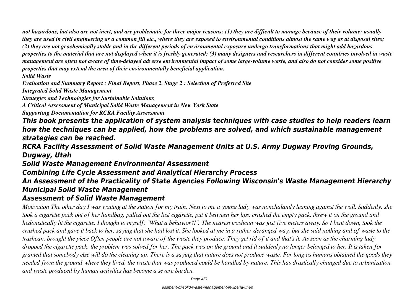*not hazardous, but also are not inert, and are problematic for three major reasons: (1) they are difficult to manage because of their volume: usually they are used in civil engineering as a common fill etc., where they are exposed to environmental conditions almost the same way as at disposal sites; (2) they are not geochemically stable and in the different periods of environmental exposure undergo transformations that might add hazardous properties to the material that are not displayed when it is freshly generated; (3) many designers and researchers in different countries involved in waste management are often not aware of time-delayed adverse environmental impact of some large-volume waste, and also do not consider some positive properties that may extend the area of their environmentally beneficial application.*

#### *Solid Waste*

*Evaluation and Summary Report : Final Report, Phase 2, Stage 2 : Selection of Preferred Site*

*Integrated Solid Waste Management*

*Strategies and Technologies for Sustainable Solutions*

*A Critical Assessment of Municipal Solid Waste Management in New York State*

*Supporting Documentation for RCRA Facility Assessment*

*This book presents the application of system analysis techniques with case studies to help readers learn how the techniques can be applied, how the problems are solved, and which sustainable management strategies can be reached.*

*RCRA Facility Assessment of Solid Waste Management Units at U.S. Army Dugway Proving Grounds, Dugway, Utah*

*Solid Waste Management Environmental Assessment*

*Combining Life Cycle Assessment and Analytical Hierarchy Process*

### *An Assessment of the Practicality of State Agencies Following Wisconsin's Waste Management Hierarchy Municipal Solid Waste Management*

#### *Assessment of Solid Waste Management*

*Motivation The other day I was waiting at the station for my train. Next to me a young lady was nonchalantly leaning against the wall. Suddenly, she took a cigarette pack out of her handbag, pulled out the last cigarette, put it between her lips, crushed the empty pack, threw it on the ground and hedonistically lit the cigarette. I thought to myself, "What a behavior?!". The nearest trashcan was just five meters away. So I bent down, took the crushed pack and gave it back to her, saying that she had lost it. She looked at me in a rather deranged way, but she said nothing and of waste to the trashcan. brought the piece Often people are not aware of the waste they produce. They get rid of it and that's it. As soon as the charming lady dropped the cigarette pack, the problem was solved for her. The pack was on the ground and it suddenly no longer belonged to her. It is taken for granted that somebody else will do the cleaning up. There is a saying that nature does not produce waste. For long as humans obtained the goods they needed from the ground where they lived, the waste that was produced could be handled by nature. This has drastically changed due to urbanization and waste produced by human activities has become a severe burden.*